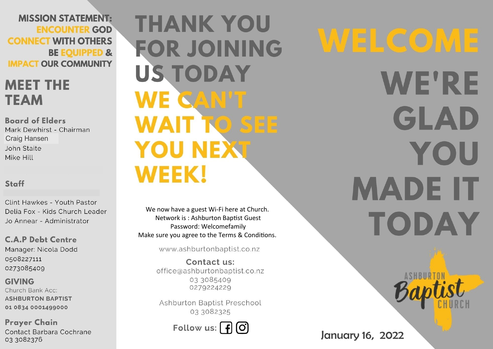**MISSION STATEMENT: ENCOUNTER GOD CONNECT WITH OTHERS BE EQUIPPED & IMPACT OUR COMMUNITY** 

# **MEET THE TEAM**

**Board of Elders** Mark Dewhirst - Chairman **Craig Hansen** John Staite Mike Hill

### Staff

Clint Hawkes - Youth Pastor Delia Fox - Kids Church Leader Jo Annear - Administrator

**C.A.P Debt Centre** Manager: Nicola Dodd 0508227111 0273085409

**GIVING** Church Bank Acc: **ASHBURTON BAPTIST** 01 0834 0001499000

**Prayer Chain** Contact Barbara Cochrane 03 3082376

**THANK YOU FOR JOINING US TODAY** WE CAN'T **WAIT TO SEE YOU NEXT WEEK!** 

We now have a guest Wi-Fi here at Church. Network is: Ashburton Baptist Guest Password: Welcomefamily Make sure you agree to the Terms & Conditions.

www.ashburtonbaptist.co.nz

Contact us: office@ashburtonbaptist.co.nz 03 3085409 0279224229

Ashburton Baptist Preschool 03 3082325

Follow us:  $\int f(x)$ 

WELCOME **WE'RE** GLAD YOU **MADE IT TODAY** 

January 16, 2022